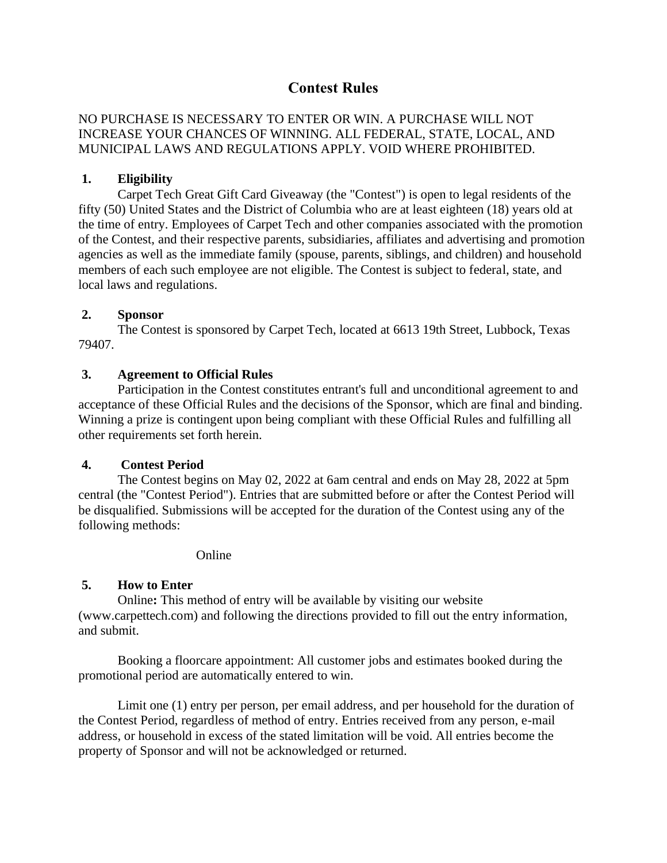# **Contest Rules**

# NO PURCHASE IS NECESSARY TO ENTER OR WIN. A PURCHASE WILL NOT INCREASE YOUR CHANCES OF WINNING. ALL FEDERAL, STATE, LOCAL, AND MUNICIPAL LAWS AND REGULATIONS APPLY. VOID WHERE PROHIBITED.

### **1. Eligibility**

Carpet Tech Great Gift Card Giveaway (the "Contest") is open to legal residents of the fifty (50) United States and the District of Columbia who are at least eighteen (18) years old at the time of entry. Employees of Carpet Tech and other companies associated with the promotion of the Contest, and their respective parents, subsidiaries, affiliates and advertising and promotion agencies as well as the immediate family (spouse, parents, siblings, and children) and household members of each such employee are not eligible. The Contest is subject to federal, state, and local laws and regulations.

#### **2. Sponsor**

The Contest is sponsored by Carpet Tech, located at 6613 19th Street, Lubbock, Texas 79407.

### **3. Agreement to Official Rules**

Participation in the Contest constitutes entrant's full and unconditional agreement to and acceptance of these Official Rules and the decisions of the Sponsor, which are final and binding. Winning a prize is contingent upon being compliant with these Official Rules and fulfilling all other requirements set forth herein.

#### **4. Contest Period**

The Contest begins on May 02, 2022 at 6am central and ends on May 28, 2022 at 5pm central (the "Contest Period"). Entries that are submitted before or after the Contest Period will be disqualified. Submissions will be accepted for the duration of the Contest using any of the following methods:

#### Online

# **5. How to Enter**

Online**:** This method of entry will be available by visiting our website (www.carpettech.com) and following the directions provided to fill out the entry information, and submit.

Booking a floorcare appointment: All customer jobs and estimates booked during the promotional period are automatically entered to win.

Limit one (1) entry per person, per email address, and per household for the duration of the Contest Period, regardless of method of entry. Entries received from any person, e-mail address, or household in excess of the stated limitation will be void. All entries become the property of Sponsor and will not be acknowledged or returned.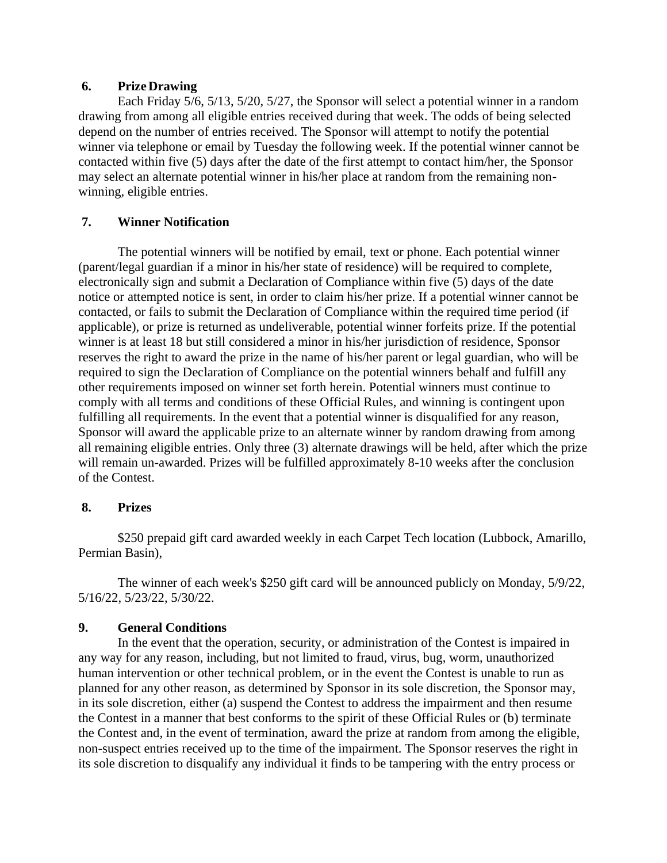### **6. PrizeDrawing**

Each Friday 5/6, 5/13, 5/20, 5/27, the Sponsor will select a potential winner in a random drawing from among all eligible entries received during that week. The odds of being selected depend on the number of entries received. The Sponsor will attempt to notify the potential winner via telephone or email by Tuesday the following week. If the potential winner cannot be contacted within five (5) days after the date of the first attempt to contact him/her, the Sponsor may select an alternate potential winner in his/her place at random from the remaining nonwinning, eligible entries.

# **7. Winner Notification**

The potential winners will be notified by email, text or phone. Each potential winner (parent/legal guardian if a minor in his/her state of residence) will be required to complete, electronically sign and submit a Declaration of Compliance within five (5) days of the date notice or attempted notice is sent, in order to claim his/her prize. If a potential winner cannot be contacted, or fails to submit the Declaration of Compliance within the required time period (if applicable), or prize is returned as undeliverable, potential winner forfeits prize. If the potential winner is at least 18 but still considered a minor in his/her jurisdiction of residence, Sponsor reserves the right to award the prize in the name of his/her parent or legal guardian, who will be required to sign the Declaration of Compliance on the potential winners behalf and fulfill any other requirements imposed on winner set forth herein. Potential winners must continue to comply with all terms and conditions of these Official Rules, and winning is contingent upon fulfilling all requirements. In the event that a potential winner is disqualified for any reason, Sponsor will award the applicable prize to an alternate winner by random drawing from among all remaining eligible entries. Only three (3) alternate drawings will be held, after which the prize will remain un-awarded. Prizes will be fulfilled approximately 8-10 weeks after the conclusion of the Contest.

#### **8. Prizes**

\$250 prepaid gift card awarded weekly in each Carpet Tech location (Lubbock, Amarillo, Permian Basin),

The winner of each week's \$250 gift card will be announced publicly on Monday, 5/9/22, 5/16/22, 5/23/22, 5/30/22.

# **9. General Conditions**

In the event that the operation, security, or administration of the Contest is impaired in any way for any reason, including, but not limited to fraud, virus, bug, worm, unauthorized human intervention or other technical problem, or in the event the Contest is unable to run as planned for any other reason, as determined by Sponsor in its sole discretion, the Sponsor may, in its sole discretion, either (a) suspend the Contest to address the impairment and then resume the Contest in a manner that best conforms to the spirit of these Official Rules or (b) terminate the Contest and, in the event of termination, award the prize at random from among the eligible, non-suspect entries received up to the time of the impairment. The Sponsor reserves the right in its sole discretion to disqualify any individual it finds to be tampering with the entry process or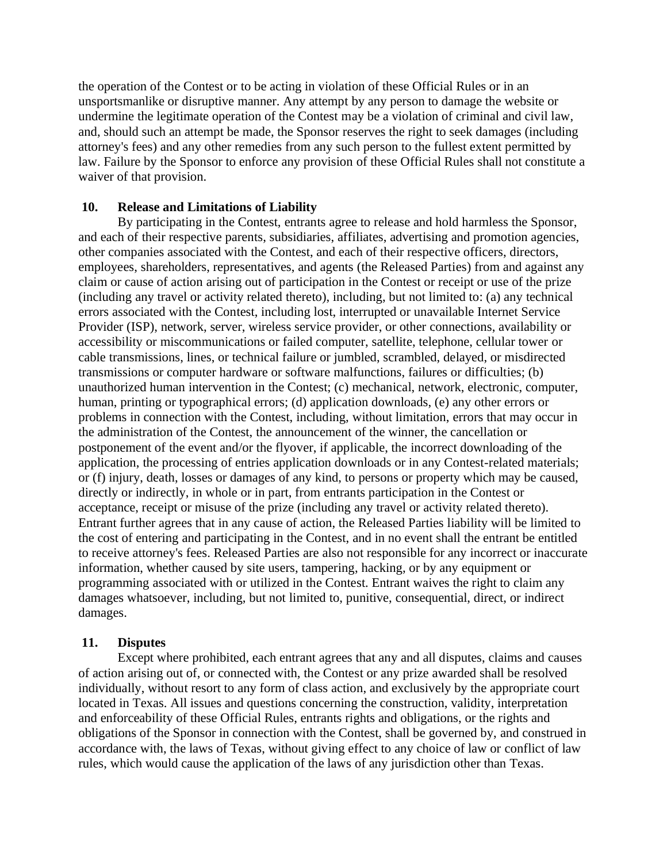the operation of the Contest or to be acting in violation of these Official Rules or in an unsportsmanlike or disruptive manner. Any attempt by any person to damage the website or undermine the legitimate operation of the Contest may be a violation of criminal and civil law, and, should such an attempt be made, the Sponsor reserves the right to seek damages (including attorney's fees) and any other remedies from any such person to the fullest extent permitted by law. Failure by the Sponsor to enforce any provision of these Official Rules shall not constitute a waiver of that provision.

#### **10. Release and Limitations of Liability**

By participating in the Contest, entrants agree to release and hold harmless the Sponsor, and each of their respective parents, subsidiaries, affiliates, advertising and promotion agencies, other companies associated with the Contest, and each of their respective officers, directors, employees, shareholders, representatives, and agents (the Released Parties) from and against any claim or cause of action arising out of participation in the Contest or receipt or use of the prize (including any travel or activity related thereto), including, but not limited to: (a) any technical errors associated with the Contest, including lost, interrupted or unavailable Internet Service Provider (ISP), network, server, wireless service provider, or other connections, availability or accessibility or miscommunications or failed computer, satellite, telephone, cellular tower or cable transmissions, lines, or technical failure or jumbled, scrambled, delayed, or misdirected transmissions or computer hardware or software malfunctions, failures or difficulties; (b) unauthorized human intervention in the Contest; (c) mechanical, network, electronic, computer, human, printing or typographical errors; (d) application downloads, (e) any other errors or problems in connection with the Contest, including, without limitation, errors that may occur in the administration of the Contest, the announcement of the winner, the cancellation or postponement of the event and/or the flyover, if applicable, the incorrect downloading of the application, the processing of entries application downloads or in any Contest-related materials; or (f) injury, death, losses or damages of any kind, to persons or property which may be caused, directly or indirectly, in whole or in part, from entrants participation in the Contest or acceptance, receipt or misuse of the prize (including any travel or activity related thereto). Entrant further agrees that in any cause of action, the Released Parties liability will be limited to the cost of entering and participating in the Contest, and in no event shall the entrant be entitled to receive attorney's fees. Released Parties are also not responsible for any incorrect or inaccurate information, whether caused by site users, tampering, hacking, or by any equipment or programming associated with or utilized in the Contest. Entrant waives the right to claim any damages whatsoever, including, but not limited to, punitive, consequential, direct, or indirect damages.

#### **11. Disputes**

Except where prohibited, each entrant agrees that any and all disputes, claims and causes of action arising out of, or connected with, the Contest or any prize awarded shall be resolved individually, without resort to any form of class action, and exclusively by the appropriate court located in Texas. All issues and questions concerning the construction, validity, interpretation and enforceability of these Official Rules, entrants rights and obligations, or the rights and obligations of the Sponsor in connection with the Contest, shall be governed by, and construed in accordance with, the laws of Texas, without giving effect to any choice of law or conflict of law rules, which would cause the application of the laws of any jurisdiction other than Texas.